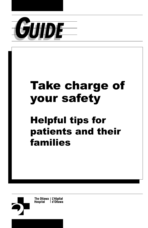

# Take charge of your safety

# Helpful tips for patients and their families

The Ottawa | L'Hôpital **Hospital** l d'Ottawa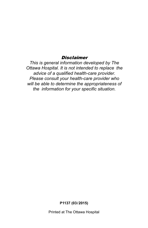#### **Disclaimer**

*This is general information developed by The Ottawa Hospital. It is not intended to replace the advice of a qualified health-care provider. Please consult your health-care provider who will be able to determine the appropriateness of the information for your specific situation.*

**P1137 (03/2015)** 

Printed at The Ottawa Hospital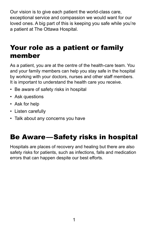Our vision is to give each patient the world-class care, exceptional service and compassion we would want for our loved ones. A big part of this is keeping you safe while you're a patient at The Ottawa Hospital.

## Your role as a patient or family member

As a patient, you are at the centre of the health-care team. You and your family members can help you stay safe in the hospital by working with your doctors, nurses and other staff members. It is important to understand the health care you receive.

- Be aware of safety risks in hospital
- Ask questions
- Ask for help
- Listen carefully
- Talk about any concerns you have

## Be Aware—Safety risks in hospital

Hospitals are places of recovery and healing but there are also safety risks for patients, such as infections, falls and medication errors that can happen despite our best efforts.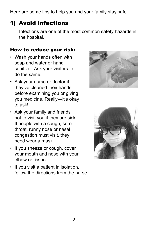Here are some tips to help you and your family stay safe.

## 1) Avoid infections

Infections are one of the most common safety hazards in the hospital.

#### How to reduce your risk:

- Wash your hands often with soap and water or hand sanitizer. Ask your visitors to do the same.
- Ask your nurse or doctor if they've cleaned their hands before examining you or giving you medicine. Really—it's okay to ask!
- Ask your family and friends not to visit you if they are sick. If people with a cough, sore throat, runny nose or nasal congestion must visit, they need wear a mask.
- If you sneeze or cough, cover your mouth and nose with your elbow or tissue.
- follow the directions from the nurse. • If you visit a patient in isolation,



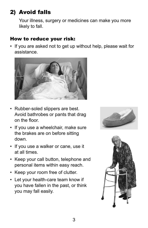## 2) Avoid falls

Your illness, surgery or medicines can make you more likely to fall.

### How to reduce your risk:

• If you are asked not to get up without help, please wait for assistance.



- on the floor. • Rubber-soled slippers are best. Avoid bathrobes or pants that drag
- If you use a wheelchair, make sure the brakes are on before sitting down.
- If you use a walker or cane, use it at all times.
- Keep your call button, telephone and personal items within easy reach.
- Keep your room free of clutter.
- Let your health-care team know if you have fallen in the past, or think you may fall easily.



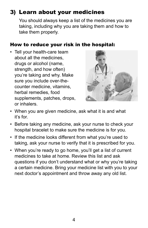## 3) Learn about your medicines

You should always keep a list of the medicines you are taking, including why you are taking them and how to take them properly.

#### How to reduce your risk in the hospital:

• Tell your health-care team about all the medicines, drugs or alcohol (name, strength, and how often) you're taking and why. Make sure you include over-thecounter medicine, vitamins, herbal remedies, food supplements, patches, drops, or inhalers.



- When you are given medicine, ask what it is and what it's for.
- Before taking any medicine, ask your nurse to check your hospital bracelet to make sure the medicine is for you.
- If the medicine looks different from what you're used to taking, ask your nurse to verify that it is prescribed for you.
- When you're ready to go home, you'll get a list of current medicines to take at home. Review this list and ask questions if you don't understand what or why you're taking a certain medicine. Bring your medicine list with you to your next doctor's appointment and throw away any old list.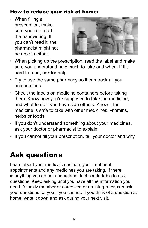### How to reduce your risk at home:

 be able to either. • When filling a prescription, make sure you can read the handwriting. If you can't read it, the pharmacist might not



- When picking up the prescription, read the label and make sure you understand how much to take and when. If it's hard to read, ask for help.
- Try to use the same pharmacy so it can track all your prescriptions.
- Check the labels on medicine containers before taking them. Know how you're supposed to take the medicine, and what to do if you have side effects. Know if the medicine is safe to take with other medicines, vitamins, herbs or foods.
- If you don't understand something about your medicines, ask your doctor or pharmacist to explain.
- If you cannot fill your prescription, tell your doctor and why.

# Ask questions

Learn about your medical condition, your treatment, appointments and any medicines you are taking. If there is anything you do not understand, feel comfortable to ask questions. Keep asking until you have all the information you need. A family member or caregiver, or an interpreter, can ask your questions for you if you cannot. If you think of a question at home, write it down and ask during your next visit.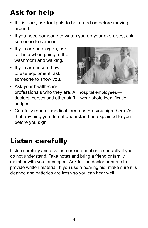# Ask for help

- If it is dark, ask for lights to be turned on before moving around.
- If you need someone to watch you do your exercises, ask someone to come in.
- If you are on oxygen, ask for help when going to the washroom and walking.
- If you are unsure how to use equipment, ask someone to show you.



- Ask your health-care professionals who they are. All hospital employees doctors, nurses and other staff—wear photo identification badges.
- Carefully read all medical forms before you sign them. Ask that anything you do not understand be explained to you before you sign.

# Listen carefully

Listen carefully and ask for more information, especially if you do not understand. Take notes and bring a friend or family member with you for support. Ask for the doctor or nurse to provide written material. If you use a hearing aid, make sure it is cleaned and batteries are fresh so you can hear well.